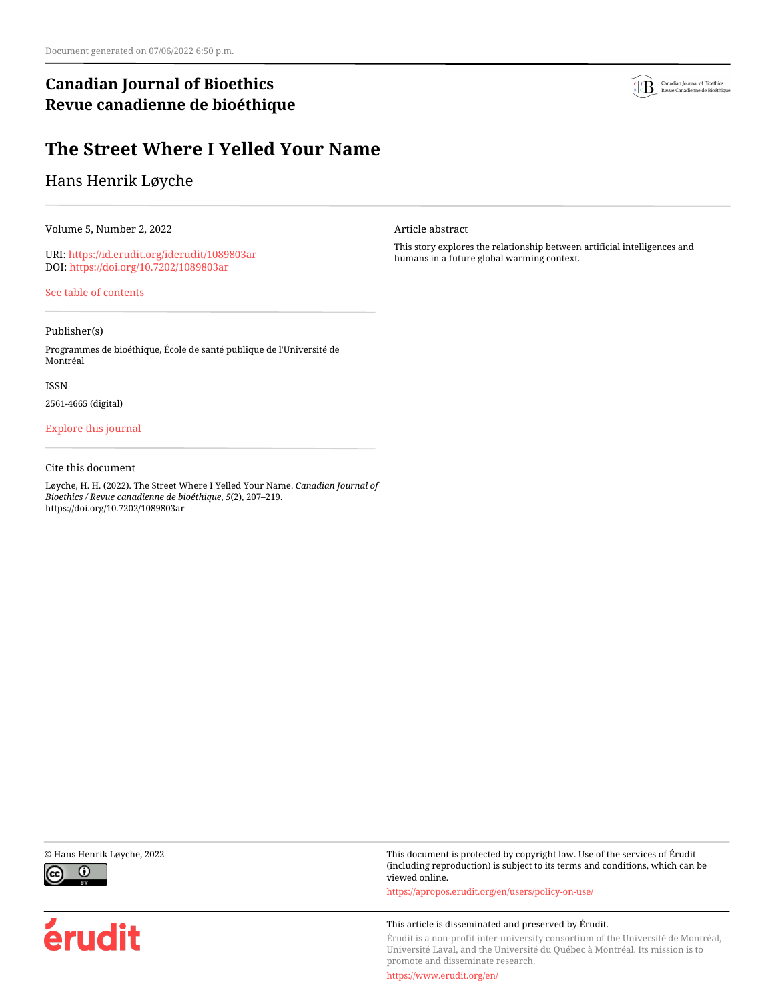## **Canadian Journal of Bioethics Revue canadienne de bioéthique**

# **The Street Where I Yelled Your Name**

### Hans Henrik Løyche

Volume 5, Number 2, 2022

URI:<https://id.erudit.org/iderudit/1089803ar> DOI:<https://doi.org/10.7202/1089803ar>

[See table of contents](https://www.erudit.org/en/journals/bioethics/2022-v5-n2-bioethics07048/)

### Publisher(s)

Programmes de bioéthique, École de santé publique de l'Université de Montréal

ISSN

2561-4665 (digital)

### [Explore this journal](https://www.erudit.org/en/journals/bioethics/)

### Cite this document

Løyche, H. H. (2022). The Street Where I Yelled Your Name. *Canadian Journal of Bioethics / Revue canadienne de bioéthique*, *5*(2), 207–219. https://doi.org/10.7202/1089803ar



This story explores the relationship between artificial intelligences and humans in a future global warming context.



érudit

© Hans Henrik Løyche, 2022 This document is protected by copyright law. Use of the services of Érudit (including reproduction) is subject to its terms and conditions, which can be viewed online.

<https://apropos.erudit.org/en/users/policy-on-use/>

### This article is disseminated and preserved by Érudit.

Érudit is a non-profit inter-university consortium of the Université de Montréal, Université Laval, and the Université du Québec à Montréal. Its mission is to promote and disseminate research.

<https://www.erudit.org/en/>

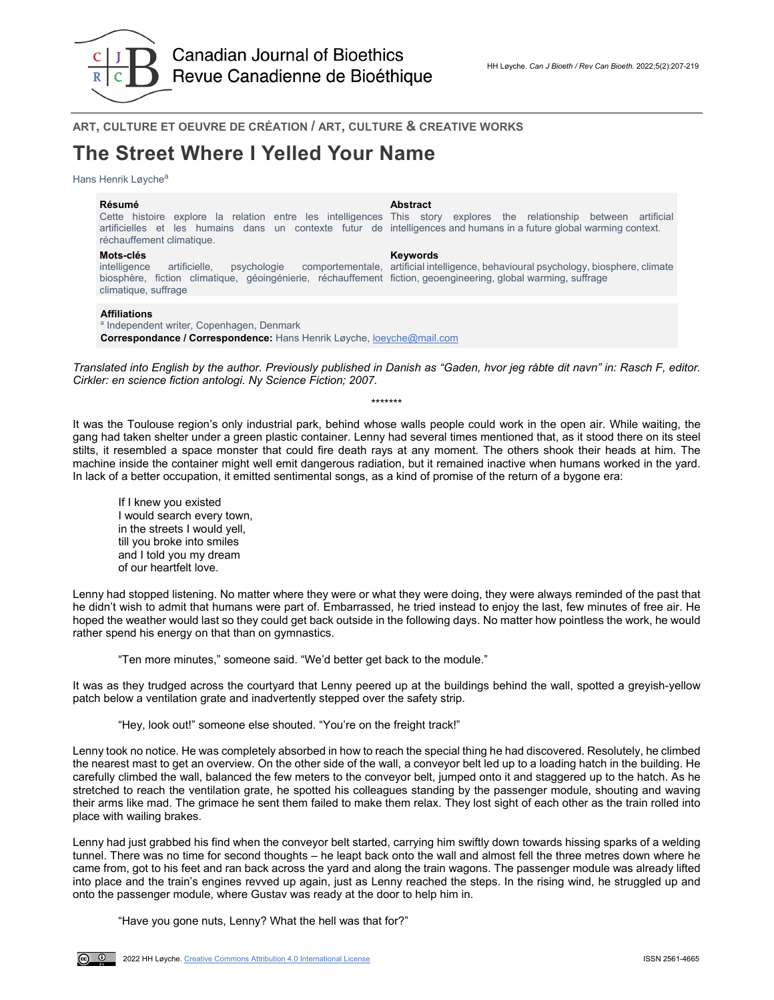

**ART, CULTURE ET OEUVRE DE CRÉATION / ART, CULTURE & CREATIVE WORKS**

# **The Street Where I Yelled Your Name**

### Hans Henrik Løyche<sup>a</sup>

| Résumé<br>artificielles et les humains dans un contexte futur de intelligences and humans in a future global warming context.<br>réchauffement climatique.                                         | <b>Abstract</b><br>Cette histoire explore la relation entre les intelligences This story explores the relationship between artificial |
|----------------------------------------------------------------------------------------------------------------------------------------------------------------------------------------------------|---------------------------------------------------------------------------------------------------------------------------------------|
| Mots-clés<br>intelligence<br>artificielle.<br>psychologie<br>biosphère, fiction climatique, géoingénierie, réchauffement fiction, geoengineering, global warming, suffrage<br>climatique, suffrage | Keywords<br>comportementale, artificial intelligence, behavioural psychology, biosphere, climate                                      |
| <b>Affiliations</b><br><sup>a</sup> Independent writer, Copenhagen, Denmark<br><b>Correspondance / Correspondence:</b> Hans Henrik Løyche, loeyche@mail.com                                        |                                                                                                                                       |

*Translated into English by the author. Previously published in Danish as "Gaden, hvor jeg råbte dit navn" in: Rasch F, editor. Cirkler: en science fiction antologi. Ny Science Fiction; 2007.*

\*\*\*\*\*\*\*

It was the Toulouse region's only industrial park, behind whose walls people could work in the open air. While waiting, the gang had taken shelter under a green plastic container. Lenny had several times mentioned that, as it stood there on its steel stilts, it resembled a space monster that could fire death rays at any moment. The others shook their heads at him. The machine inside the container might well emit dangerous radiation, but it remained inactive when humans worked in the yard. In lack of a better occupation, it emitted sentimental songs, as a kind of promise of the return of a bygone era:

If I knew you existed I would search every town, in the streets I would yell, till you broke into smiles and I told you my dream of our heartfelt love.

Lenny had stopped listening. No matter where they were or what they were doing, they were always reminded of the past that he didn't wish to admit that humans were part of. Embarrassed, he tried instead to enjoy the last, few minutes of free air. He hoped the weather would last so they could get back outside in the following days. No matter how pointless the work, he would rather spend his energy on that than on gymnastics.

"Ten more minutes," someone said. "We'd better get back to the module."

It was as they trudged across the courtyard that Lenny peered up at the buildings behind the wall, spotted a greyish-yellow patch below a ventilation grate and inadvertently stepped over the safety strip.

"Hey, look out!" someone else shouted. "You're on the freight track!"

Lenny took no notice. He was completely absorbed in how to reach the special thing he had discovered. Resolutely, he climbed the nearest mast to get an overview. On the other side of the wall, a conveyor belt led up to a loading hatch in the building. He carefully climbed the wall, balanced the few meters to the conveyor belt, jumped onto it and staggered up to the hatch. As he stretched to reach the ventilation grate, he spotted his colleagues standing by the passenger module, shouting and waving their arms like mad. The grimace he sent them failed to make them relax. They lost sight of each other as the train rolled into place with wailing brakes.

Lenny had just grabbed his find when the conveyor belt started, carrying him swiftly down towards hissing sparks of a welding tunnel. There was no time for second thoughts – he leapt back onto the wall and almost fell the three metres down where he came from, got to his feet and ran back across the yard and along the train wagons. The passenger module was already lifted into place and the train's engines revved up again, just as Lenny reached the steps. In the rising wind, he struggled up and onto the passenger module, where Gustav was ready at the door to help him in.

"Have you gone nuts, Lenny? What the hell was that for?"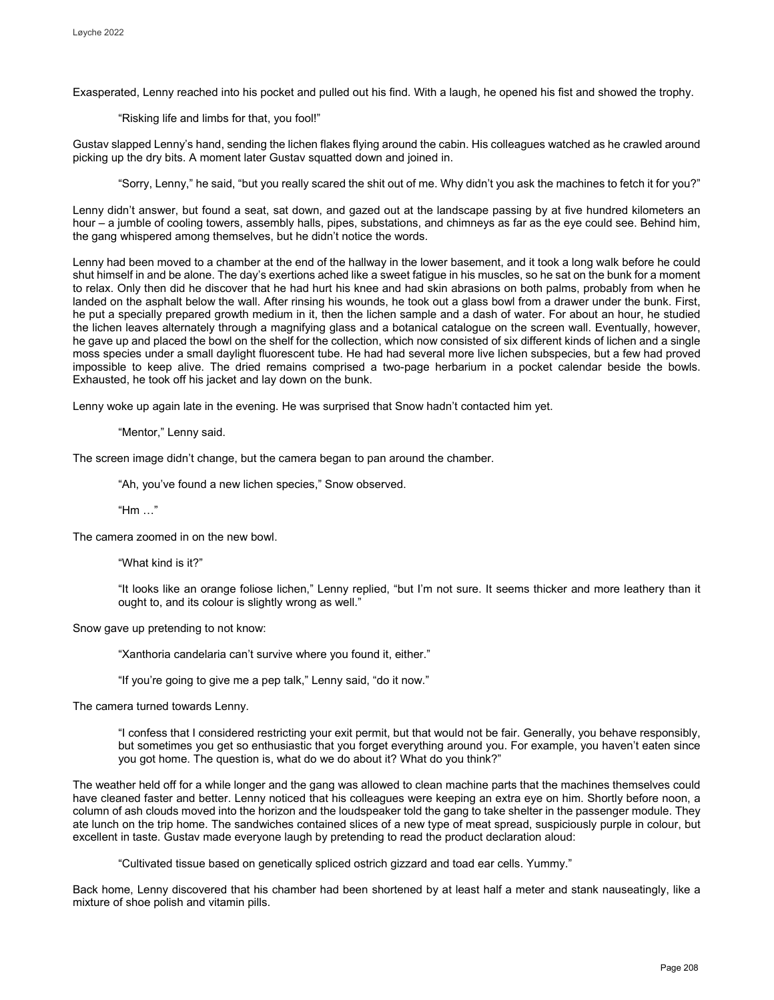Exasperated, Lenny reached into his pocket and pulled out his find. With a laugh, he opened his fist and showed the trophy.

### "Risking life and limbs for that, you fool!"

Gustav slapped Lenny's hand, sending the lichen flakes flying around the cabin. His colleagues watched as he crawled around picking up the dry bits. A moment later Gustav squatted down and joined in.

"Sorry, Lenny," he said, "but you really scared the shit out of me. Why didn't you ask the machines to fetch it for you?"

Lenny didn't answer, but found a seat, sat down, and gazed out at the landscape passing by at five hundred kilometers an hour – a jumble of cooling towers, assembly halls, pipes, substations, and chimneys as far as the eye could see. Behind him, the gang whispered among themselves, but he didn't notice the words.

Lenny had been moved to a chamber at the end of the hallway in the lower basement, and it took a long walk before he could shut himself in and be alone. The day's exertions ached like a sweet fatigue in his muscles, so he sat on the bunk for a moment to relax. Only then did he discover that he had hurt his knee and had skin abrasions on both palms, probably from when he landed on the asphalt below the wall. After rinsing his wounds, he took out a glass bowl from a drawer under the bunk. First, he put a specially prepared growth medium in it, then the lichen sample and a dash of water. For about an hour, he studied the lichen leaves alternately through a magnifying glass and a botanical catalogue on the screen wall. Eventually, however, he gave up and placed the bowl on the shelf for the collection, which now consisted of six different kinds of lichen and a single moss species under a small daylight fluorescent tube. He had had several more live lichen subspecies, but a few had proved impossible to keep alive. The dried remains comprised a two-page herbarium in a pocket calendar beside the bowls. Exhausted, he took off his jacket and lay down on the bunk.

Lenny woke up again late in the evening. He was surprised that Snow hadn't contacted him yet.

"Mentor," Lenny said.

The screen image didn't change, but the camera began to pan around the chamber.

"Ah, you've found a new lichen species," Snow observed.

"Hm …"

The camera zoomed in on the new bowl.

"What kind is it?"

"It looks like an orange foliose lichen," Lenny replied, "but I'm not sure. It seems thicker and more leathery than it ought to, and its colour is slightly wrong as well."

Snow gave up pretending to not know:

"Xanthoria candelaria can't survive where you found it, either."

"If you're going to give me a pep talk," Lenny said, "do it now."

The camera turned towards Lenny.

"I confess that I considered restricting your exit permit, but that would not be fair. Generally, you behave responsibly, but sometimes you get so enthusiastic that you forget everything around you. For example, you haven't eaten since you got home. The question is, what do we do about it? What do you think?"

The weather held off for a while longer and the gang was allowed to clean machine parts that the machines themselves could have cleaned faster and better. Lenny noticed that his colleagues were keeping an extra eye on him. Shortly before noon, a column of ash clouds moved into the horizon and the loudspeaker told the gang to take shelter in the passenger module. They ate lunch on the trip home. The sandwiches contained slices of a new type of meat spread, suspiciously purple in colour, but excellent in taste. Gustav made everyone laugh by pretending to read the product declaration aloud:

"Cultivated tissue based on genetically spliced ostrich gizzard and toad ear cells. Yummy."

Back home, Lenny discovered that his chamber had been shortened by at least half a meter and stank nauseatingly, like a mixture of shoe polish and vitamin pills.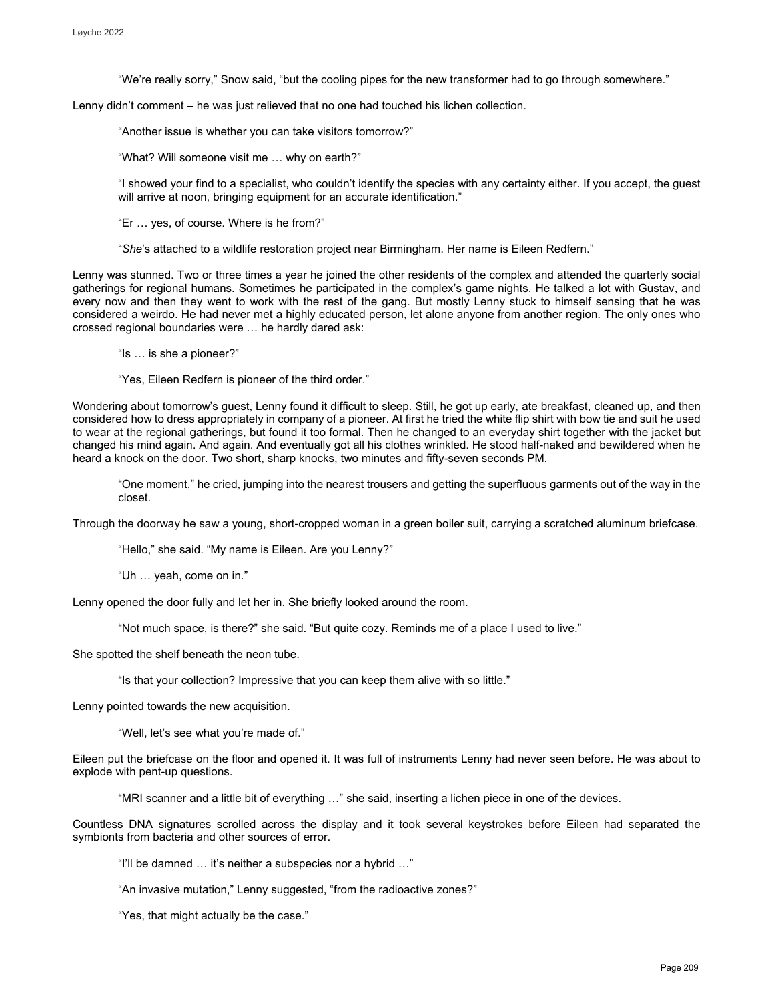"We're really sorry," Snow said, "but the cooling pipes for the new transformer had to go through somewhere."

Lenny didn't comment – he was just relieved that no one had touched his lichen collection.

"Another issue is whether you can take visitors tomorrow?"

"What? Will someone visit me … why on earth?"

"I showed your find to a specialist, who couldn't identify the species with any certainty either. If you accept, the guest will arrive at noon, bringing equipment for an accurate identification."

"Er … yes, of course. Where is he from?"

"*She*'s attached to a wildlife restoration project near Birmingham. Her name is Eileen Redfern."

Lenny was stunned. Two or three times a year he joined the other residents of the complex and attended the quarterly social gatherings for regional humans. Sometimes he participated in the complex's game nights. He talked a lot with Gustav, and every now and then they went to work with the rest of the gang. But mostly Lenny stuck to himself sensing that he was considered a weirdo. He had never met a highly educated person, let alone anyone from another region. The only ones who crossed regional boundaries were … he hardly dared ask:

"Is … is she a pioneer?"

"Yes, Eileen Redfern is pioneer of the third order."

Wondering about tomorrow's guest, Lenny found it difficult to sleep. Still, he got up early, ate breakfast, cleaned up, and then considered how to dress appropriately in company of a pioneer. At first he tried the white flip shirt with bow tie and suit he used to wear at the regional gatherings, but found it too formal. Then he changed to an everyday shirt together with the jacket but changed his mind again. And again. And eventually got all his clothes wrinkled. He stood half-naked and bewildered when he heard a knock on the door. Two short, sharp knocks, two minutes and fifty-seven seconds PM.

"One moment," he cried, jumping into the nearest trousers and getting the superfluous garments out of the way in the closet.

Through the doorway he saw a young, short-cropped woman in a green boiler suit, carrying a scratched aluminum briefcase.

"Hello," she said. "My name is Eileen. Are you Lenny?"

"Uh … yeah, come on in."

Lenny opened the door fully and let her in. She briefly looked around the room.

"Not much space, is there?" she said. "But quite cozy. Reminds me of a place I used to live."

She spotted the shelf beneath the neon tube.

"Is that your collection? Impressive that you can keep them alive with so little."

Lenny pointed towards the new acquisition.

"Well, let's see what you're made of."

Eileen put the briefcase on the floor and opened it. It was full of instruments Lenny had never seen before. He was about to explode with pent-up questions.

"MRI scanner and a little bit of everything …" she said, inserting a lichen piece in one of the devices.

Countless DNA signatures scrolled across the display and it took several keystrokes before Eileen had separated the symbionts from bacteria and other sources of error.

"I'll be damned … it's neither a subspecies nor a hybrid …"

"An invasive mutation," Lenny suggested, "from the radioactive zones?"

"Yes, that might actually be the case."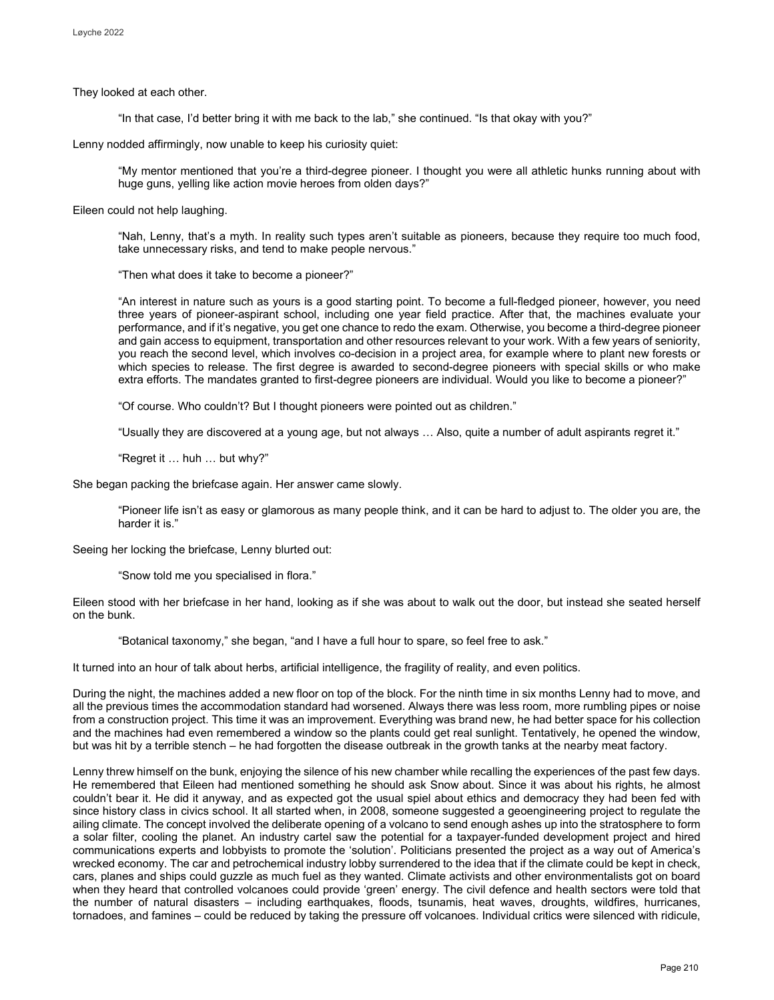### They looked at each other.

"In that case, I'd better bring it with me back to the lab," she continued. "Is that okay with you?"

Lenny nodded affirmingly, now unable to keep his curiosity quiet:

"My mentor mentioned that you're a third-degree pioneer. I thought you were all athletic hunks running about with huge guns, yelling like action movie heroes from olden days?"

Eileen could not help laughing.

"Nah, Lenny, that's a myth. In reality such types aren't suitable as pioneers, because they require too much food, take unnecessary risks, and tend to make people nervous."

"Then what does it take to become a pioneer?"

"An interest in nature such as yours is a good starting point. To become a full-fledged pioneer, however, you need three years of pioneer-aspirant school, including one year field practice. After that, the machines evaluate your performance, and if it's negative, you get one chance to redo the exam. Otherwise, you become a third-degree pioneer and gain access to equipment, transportation and other resources relevant to your work. With a few years of seniority, you reach the second level, which involves co-decision in a project area, for example where to plant new forests or which species to release. The first degree is awarded to second-degree pioneers with special skills or who make extra efforts. The mandates granted to first-degree pioneers are individual. Would you like to become a pioneer?"

"Of course. Who couldn't? But I thought pioneers were pointed out as children."

"Usually they are discovered at a young age, but not always … Also, quite a number of adult aspirants regret it."

"Regret it … huh … but why?"

She began packing the briefcase again. Her answer came slowly.

"Pioneer life isn't as easy or glamorous as many people think, and it can be hard to adjust to. The older you are, the harder it is."

Seeing her locking the briefcase, Lenny blurted out:

"Snow told me you specialised in flora."

Eileen stood with her briefcase in her hand, looking as if she was about to walk out the door, but instead she seated herself on the bunk.

"Botanical taxonomy," she began, "and I have a full hour to spare, so feel free to ask."

It turned into an hour of talk about herbs, artificial intelligence, the fragility of reality, and even politics.

During the night, the machines added a new floor on top of the block. For the ninth time in six months Lenny had to move, and all the previous times the accommodation standard had worsened. Always there was less room, more rumbling pipes or noise from a construction project. This time it was an improvement. Everything was brand new, he had better space for his collection and the machines had even remembered a window so the plants could get real sunlight. Tentatively, he opened the window, but was hit by a terrible stench – he had forgotten the disease outbreak in the growth tanks at the nearby meat factory.

Lenny threw himself on the bunk, enjoying the silence of his new chamber while recalling the experiences of the past few days. He remembered that Eileen had mentioned something he should ask Snow about. Since it was about his rights, he almost couldn't bear it. He did it anyway, and as expected got the usual spiel about ethics and democracy they had been fed with since history class in civics school. It all started when, in 2008, someone suggested a geoengineering project to regulate the ailing climate. The concept involved the deliberate opening of a volcano to send enough ashes up into the stratosphere to form a solar filter, cooling the planet. An industry cartel saw the potential for a taxpayer-funded development project and hired communications experts and lobbyists to promote the 'solution'. Politicians presented the project as a way out of America's wrecked economy. The car and petrochemical industry lobby surrendered to the idea that if the climate could be kept in check, cars, planes and ships could guzzle as much fuel as they wanted. Climate activists and other environmentalists got on board when they heard that controlled volcanoes could provide 'green' energy. The civil defence and health sectors were told that the number of natural disasters – including earthquakes, floods, tsunamis, heat waves, droughts, wildfires, hurricanes, tornadoes, and famines – could be reduced by taking the pressure off volcanoes. Individual critics were silenced with ridicule,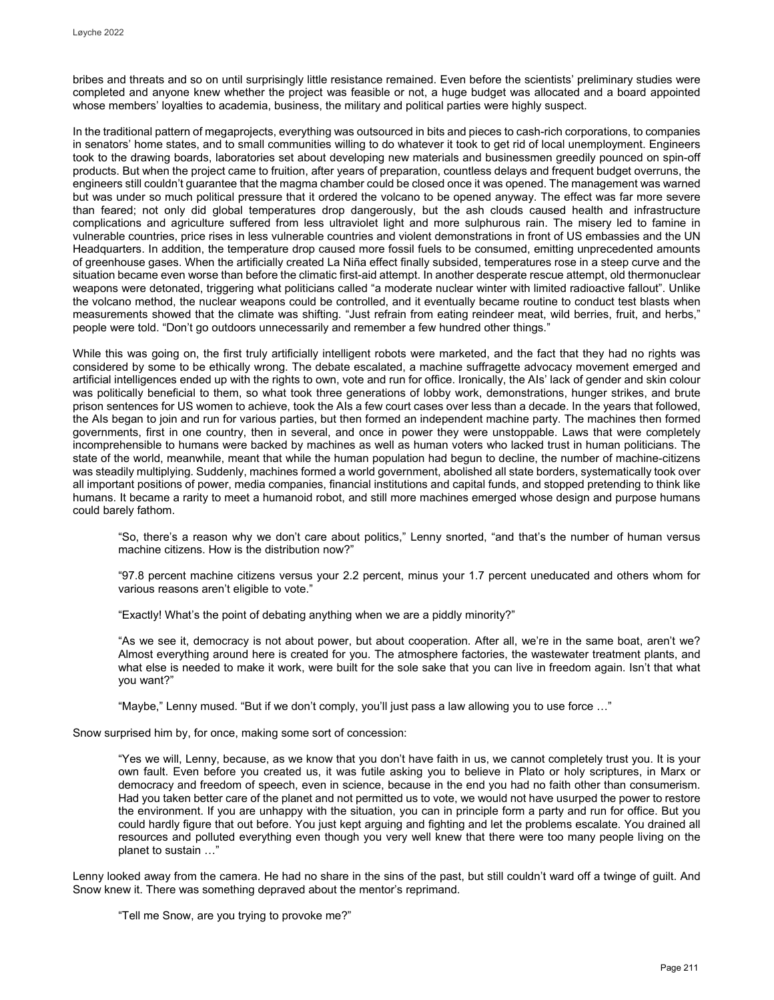bribes and threats and so on until surprisingly little resistance remained. Even before the scientists' preliminary studies were completed and anyone knew whether the project was feasible or not, a huge budget was allocated and a board appointed whose members' loyalties to academia, business, the military and political parties were highly suspect.

In the traditional pattern of megaprojects, everything was outsourced in bits and pieces to cash-rich corporations, to companies in senators' home states, and to small communities willing to do whatever it took to get rid of local unemployment. Engineers took to the drawing boards, laboratories set about developing new materials and businessmen greedily pounced on spin-off products. But when the project came to fruition, after years of preparation, countless delays and frequent budget overruns, the engineers still couldn't guarantee that the magma chamber could be closed once it was opened. The management was warned but was under so much political pressure that it ordered the volcano to be opened anyway. The effect was far more severe than feared; not only did global temperatures drop dangerously, but the ash clouds caused health and infrastructure complications and agriculture suffered from less ultraviolet light and more sulphurous rain. The misery led to famine in vulnerable countries, price rises in less vulnerable countries and violent demonstrations in front of US embassies and the UN Headquarters. In addition, the temperature drop caused more fossil fuels to be consumed, emitting unprecedented amounts of greenhouse gases. When the artificially created La Niña effect finally subsided, temperatures rose in a steep curve and the situation became even worse than before the climatic first-aid attempt. In another desperate rescue attempt, old thermonuclear weapons were detonated, triggering what politicians called "a moderate nuclear winter with limited radioactive fallout". Unlike the volcano method, the nuclear weapons could be controlled, and it eventually became routine to conduct test blasts when measurements showed that the climate was shifting. "Just refrain from eating reindeer meat, wild berries, fruit, and herbs," people were told. "Don't go outdoors unnecessarily and remember a few hundred other things."

While this was going on, the first truly artificially intelligent robots were marketed, and the fact that they had no rights was considered by some to be ethically wrong. The debate escalated, a machine suffragette advocacy movement emerged and artificial intelligences ended up with the rights to own, vote and run for office. Ironically, the AIs' lack of gender and skin colour was politically beneficial to them, so what took three generations of lobby work, demonstrations, hunger strikes, and brute prison sentences for US women to achieve, took the AIs a few court cases over less than a decade. In the years that followed, the AIs began to join and run for various parties, but then formed an independent machine party. The machines then formed governments, first in one country, then in several, and once in power they were unstoppable. Laws that were completely incomprehensible to humans were backed by machines as well as human voters who lacked trust in human politicians. The state of the world, meanwhile, meant that while the human population had begun to decline, the number of machine-citizens was steadily multiplying. Suddenly, machines formed a world government, abolished all state borders, systematically took over all important positions of power, media companies, financial institutions and capital funds, and stopped pretending to think like humans. It became a rarity to meet a humanoid robot, and still more machines emerged whose design and purpose humans could barely fathom.

"So, there's a reason why we don't care about politics," Lenny snorted, "and that's the number of human versus machine citizens. How is the distribution now?"

"97.8 percent machine citizens versus your 2.2 percent, minus your 1.7 percent uneducated and others whom for various reasons aren't eligible to vote."

"Exactly! What's the point of debating anything when we are a piddly minority?"

"As we see it, democracy is not about power, but about cooperation. After all, we're in the same boat, aren't we? Almost everything around here is created for you. The atmosphere factories, the wastewater treatment plants, and what else is needed to make it work, were built for the sole sake that you can live in freedom again. Isn't that what you want?"

"Maybe," Lenny mused. "But if we don't comply, you'll just pass a law allowing you to use force …"

Snow surprised him by, for once, making some sort of concession:

"Yes we will, Lenny, because, as we know that you don't have faith in us, we cannot completely trust you. It is your own fault. Even before you created us, it was futile asking you to believe in Plato or holy scriptures, in Marx or democracy and freedom of speech, even in science, because in the end you had no faith other than consumerism. Had you taken better care of the planet and not permitted us to vote, we would not have usurped the power to restore the environment. If you are unhappy with the situation, you can in principle form a party and run for office. But you could hardly figure that out before. You just kept arguing and fighting and let the problems escalate. You drained all resources and polluted everything even though you very well knew that there were too many people living on the planet to sustain …"

Lenny looked away from the camera. He had no share in the sins of the past, but still couldn't ward off a twinge of guilt. And Snow knew it. There was something depraved about the mentor's reprimand.

"Tell me Snow, are you trying to provoke me?"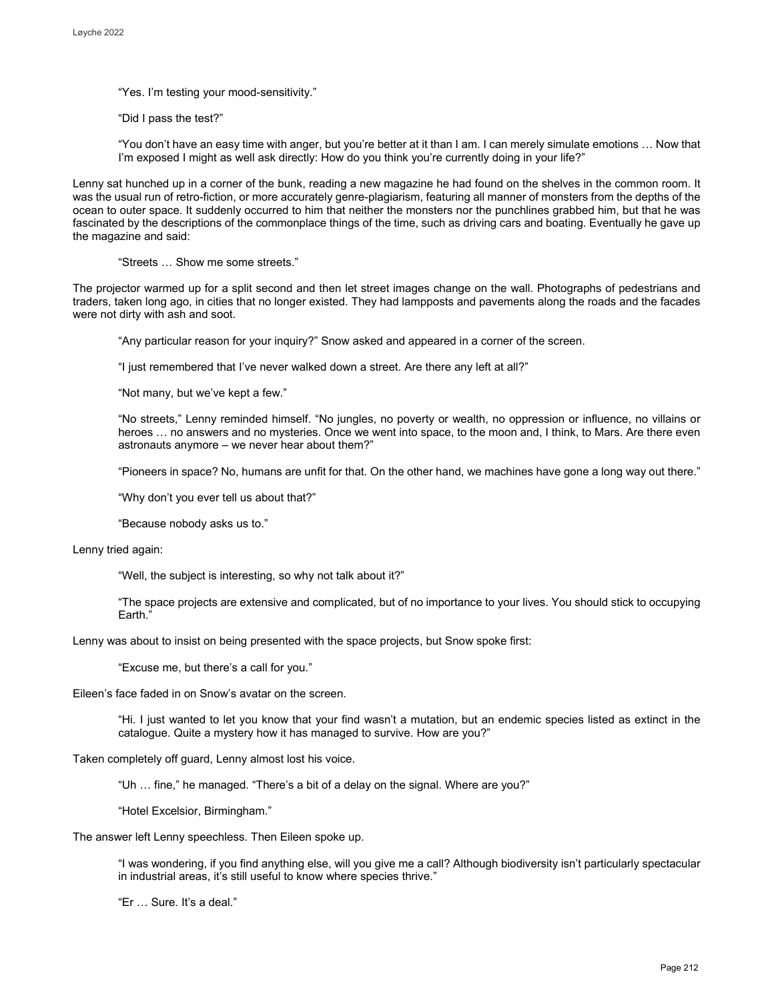"Yes. I'm testing your mood-sensitivity."

"Did I pass the test?"

"You don't have an easy time with anger, but you're better at it than I am. I can merely simulate emotions … Now that I'm exposed I might as well ask directly: How do you think you're currently doing in your life?"

Lenny sat hunched up in a corner of the bunk, reading a new magazine he had found on the shelves in the common room. It was the usual run of retro-fiction, or more accurately genre-plagiarism, featuring all manner of monsters from the depths of the ocean to outer space. It suddenly occurred to him that neither the monsters nor the punchlines grabbed him, but that he was fascinated by the descriptions of the commonplace things of the time, such as driving cars and boating. Eventually he gave up the magazine and said:

"Streets … Show me some streets."

The projector warmed up for a split second and then let street images change on the wall. Photographs of pedestrians and traders, taken long ago, in cities that no longer existed. They had lampposts and pavements along the roads and the facades were not dirty with ash and soot.

"Any particular reason for your inquiry?" Snow asked and appeared in a corner of the screen.

"I just remembered that I've never walked down a street. Are there any left at all?"

"Not many, but we've kept a few."

"No streets," Lenny reminded himself. "No jungles, no poverty or wealth, no oppression or influence, no villains or heroes ... no answers and no mysteries. Once we went into space, to the moon and, I think, to Mars. Are there even astronauts anymore – we never hear about them?"

"Pioneers in space? No, humans are unfit for that. On the other hand, we machines have gone a long way out there."

"Why don't you ever tell us about that?"

"Because nobody asks us to."

Lenny tried again:

"Well, the subject is interesting, so why not talk about it?"

"The space projects are extensive and complicated, but of no importance to your lives. You should stick to occupying Earth."

Lenny was about to insist on being presented with the space projects, but Snow spoke first:

"Excuse me, but there's a call for you."

Eileen's face faded in on Snow's avatar on the screen.

"Hi. I just wanted to let you know that your find wasn't a mutation, but an endemic species listed as extinct in the catalogue. Quite a mystery how it has managed to survive. How are you?"

Taken completely off guard, Lenny almost lost his voice.

"Uh … fine," he managed. "There's a bit of a delay on the signal. Where are you?"

"Hotel Excelsior, Birmingham."

The answer left Lenny speechless. Then Eileen spoke up.

"I was wondering, if you find anything else, will you give me a call? Although biodiversity isn't particularly spectacular in industrial areas, it's still useful to know where species thrive."

"Er … Sure. It's a deal."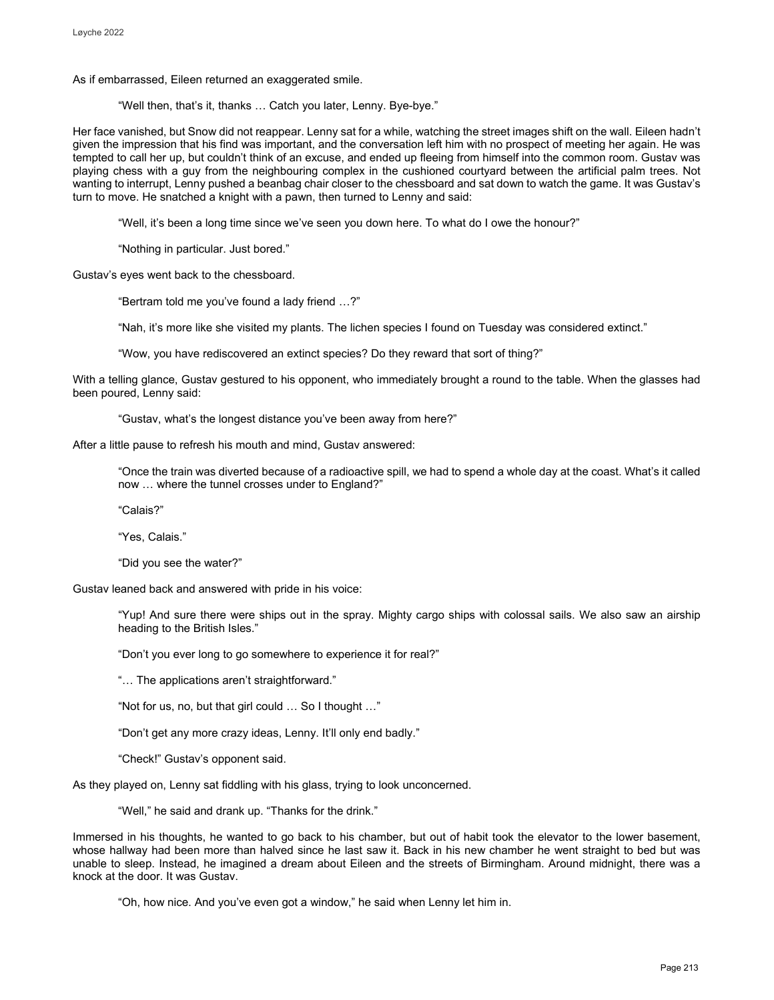As if embarrassed, Eileen returned an exaggerated smile.

"Well then, that's it, thanks … Catch you later, Lenny. Bye-bye."

Her face vanished, but Snow did not reappear. Lenny sat for a while, watching the street images shift on the wall. Eileen hadn't given the impression that his find was important, and the conversation left him with no prospect of meeting her again. He was tempted to call her up, but couldn't think of an excuse, and ended up fleeing from himself into the common room. Gustav was playing chess with a guy from the neighbouring complex in the cushioned courtyard between the artificial palm trees. Not wanting to interrupt, Lenny pushed a beanbag chair closer to the chessboard and sat down to watch the game. It was Gustav's turn to move. He snatched a knight with a pawn, then turned to Lenny and said:

"Well, it's been a long time since we've seen you down here. To what do I owe the honour?"

"Nothing in particular. Just bored."

Gustav's eyes went back to the chessboard.

"Bertram told me you've found a lady friend …?"

"Nah, it's more like she visited my plants. The lichen species I found on Tuesday was considered extinct."

"Wow, you have rediscovered an extinct species? Do they reward that sort of thing?"

With a telling glance, Gustav gestured to his opponent, who immediately brought a round to the table. When the glasses had been poured, Lenny said:

"Gustav, what's the longest distance you've been away from here?"

After a little pause to refresh his mouth and mind, Gustav answered:

"Once the train was diverted because of a radioactive spill, we had to spend a whole day at the coast. What's it called now … where the tunnel crosses under to England?"

"Calais?"

"Yes, Calais."

"Did you see the water?"

Gustav leaned back and answered with pride in his voice:

"Yup! And sure there were ships out in the spray. Mighty cargo ships with colossal sails. We also saw an airship heading to the British Isles."

"Don't you ever long to go somewhere to experience it for real?"

"… The applications aren't straightforward."

"Not for us, no, but that girl could … So I thought …"

"Don't get any more crazy ideas, Lenny. It'll only end badly."

"Check!" Gustav's opponent said.

As they played on, Lenny sat fiddling with his glass, trying to look unconcerned.

"Well," he said and drank up. "Thanks for the drink."

Immersed in his thoughts, he wanted to go back to his chamber, but out of habit took the elevator to the lower basement, whose hallway had been more than halved since he last saw it. Back in his new chamber he went straight to bed but was unable to sleep. Instead, he imagined a dream about Eileen and the streets of Birmingham. Around midnight, there was a knock at the door. It was Gustav.

"Oh, how nice. And you've even got a window," he said when Lenny let him in.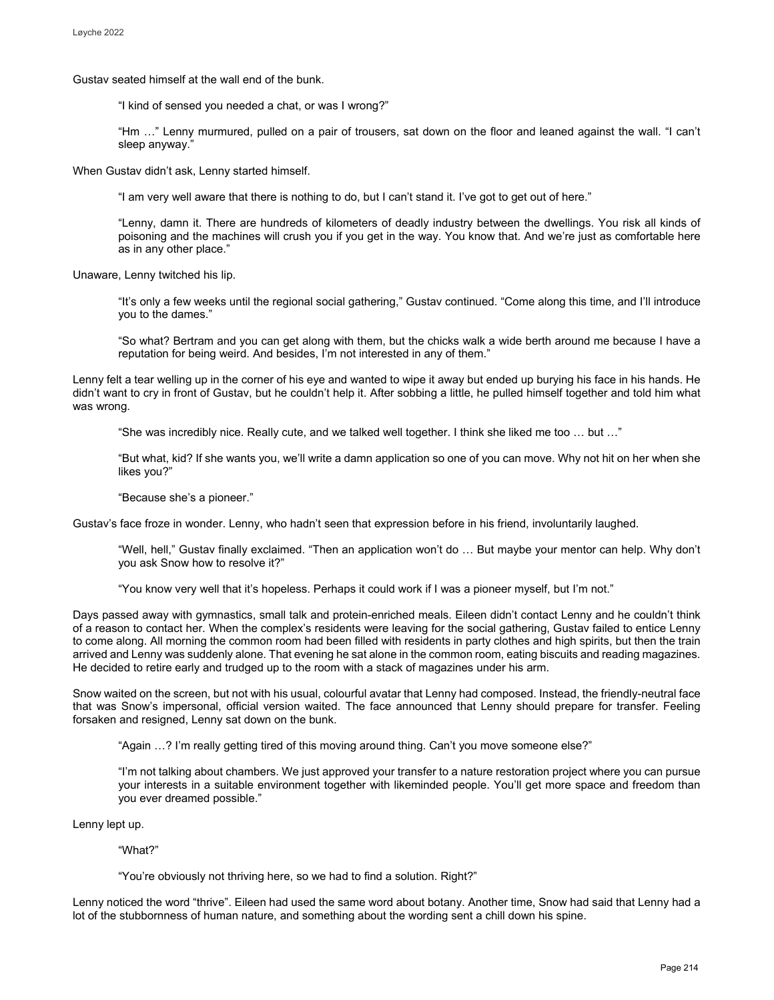Gustav seated himself at the wall end of the bunk.

"I kind of sensed you needed a chat, or was I wrong?"

"Hm …" Lenny murmured, pulled on a pair of trousers, sat down on the floor and leaned against the wall. "I can't sleep anyway."

When Gustav didn't ask, Lenny started himself.

"I am very well aware that there is nothing to do, but I can't stand it. I've got to get out of here."

"Lenny, damn it. There are hundreds of kilometers of deadly industry between the dwellings. You risk all kinds of poisoning and the machines will crush you if you get in the way. You know that. And we're just as comfortable here as in any other place."

Unaware, Lenny twitched his lip.

"It's only a few weeks until the regional social gathering," Gustav continued. "Come along this time, and I'll introduce you to the dames."

"So what? Bertram and you can get along with them, but the chicks walk a wide berth around me because I have a reputation for being weird. And besides, I'm not interested in any of them."

Lenny felt a tear welling up in the corner of his eye and wanted to wipe it away but ended up burying his face in his hands. He didn't want to cry in front of Gustav, but he couldn't help it. After sobbing a little, he pulled himself together and told him what was wrong.

"She was incredibly nice. Really cute, and we talked well together. I think she liked me too … but …"

"But what, kid? If she wants you, we'll write a damn application so one of you can move. Why not hit on her when she likes you?"

"Because she's a pioneer."

Gustav's face froze in wonder. Lenny, who hadn't seen that expression before in his friend, involuntarily laughed.

"Well, hell," Gustav finally exclaimed. "Then an application won't do … But maybe your mentor can help. Why don't you ask Snow how to resolve it?"

"You know very well that it's hopeless. Perhaps it could work if I was a pioneer myself, but I'm not."

Days passed away with gymnastics, small talk and protein-enriched meals. Eileen didn't contact Lenny and he couldn't think of a reason to contact her. When the complex's residents were leaving for the social gathering, Gustav failed to entice Lenny to come along. All morning the common room had been filled with residents in party clothes and high spirits, but then the train arrived and Lenny was suddenly alone. That evening he sat alone in the common room, eating biscuits and reading magazines. He decided to retire early and trudged up to the room with a stack of magazines under his arm.

Snow waited on the screen, but not with his usual, colourful avatar that Lenny had composed. Instead, the friendly-neutral face that was Snow's impersonal, official version waited. The face announced that Lenny should prepare for transfer. Feeling forsaken and resigned, Lenny sat down on the bunk.

"Again …? I'm really getting tired of this moving around thing. Can't you move someone else?"

"I'm not talking about chambers. We just approved your transfer to a nature restoration project where you can pursue your interests in a suitable environment together with likeminded people. You'll get more space and freedom than you ever dreamed possible."

Lenny lept up.

"What?"

"You're obviously not thriving here, so we had to find a solution. Right?"

Lenny noticed the word "thrive". Eileen had used the same word about botany. Another time, Snow had said that Lenny had a lot of the stubbornness of human nature, and something about the wording sent a chill down his spine.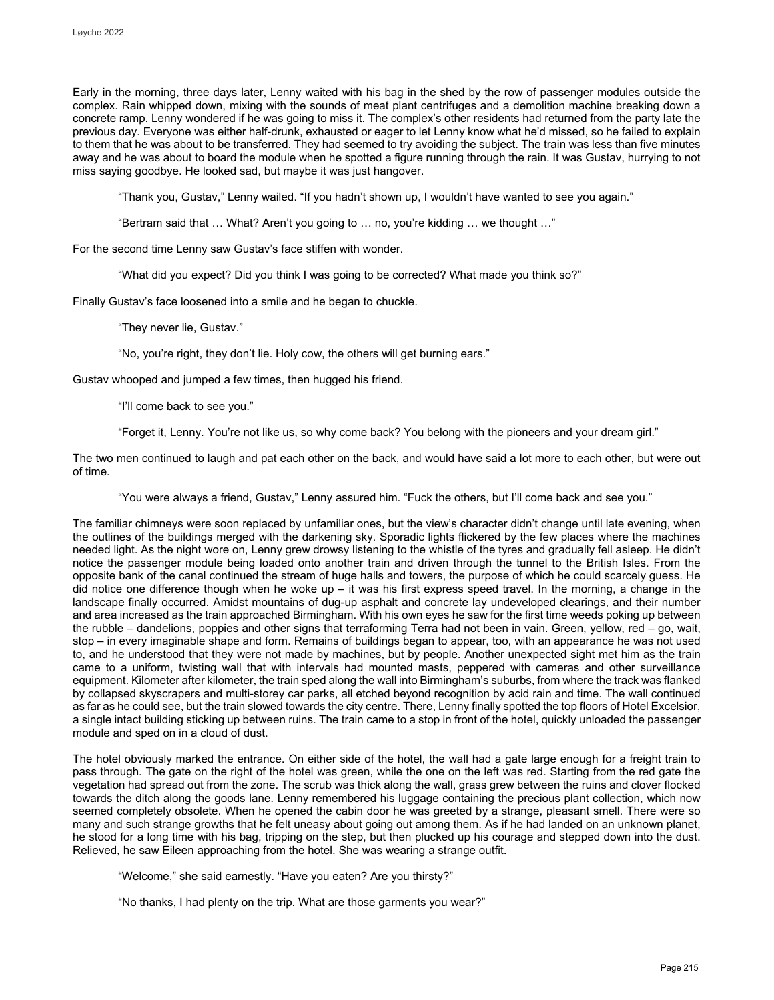Early in the morning, three days later, Lenny waited with his bag in the shed by the row of passenger modules outside the complex. Rain whipped down, mixing with the sounds of meat plant centrifuges and a demolition machine breaking down a concrete ramp. Lenny wondered if he was going to miss it. The complex's other residents had returned from the party late the previous day. Everyone was either half-drunk, exhausted or eager to let Lenny know what he'd missed, so he failed to explain to them that he was about to be transferred. They had seemed to try avoiding the subject. The train was less than five minutes away and he was about to board the module when he spotted a figure running through the rain. It was Gustav, hurrying to not miss saying goodbye. He looked sad, but maybe it was just hangover.

"Thank you, Gustav," Lenny wailed. "If you hadn't shown up, I wouldn't have wanted to see you again."

"Bertram said that … What? Aren't you going to … no, you're kidding … we thought …"

For the second time Lenny saw Gustav's face stiffen with wonder.

"What did you expect? Did you think I was going to be corrected? What made you think so?"

Finally Gustav's face loosened into a smile and he began to chuckle.

"They never lie, Gustav."

"No, you're right, they don't lie. Holy cow, the others will get burning ears."

Gustav whooped and jumped a few times, then hugged his friend.

"I'll come back to see you."

"Forget it, Lenny. You're not like us, so why come back? You belong with the pioneers and your dream girl."

The two men continued to laugh and pat each other on the back, and would have said a lot more to each other, but were out of time.

"You were always a friend, Gustav," Lenny assured him. "Fuck the others, but I'll come back and see you."

The familiar chimneys were soon replaced by unfamiliar ones, but the view's character didn't change until late evening, when the outlines of the buildings merged with the darkening sky. Sporadic lights flickered by the few places where the machines needed light. As the night wore on, Lenny grew drowsy listening to the whistle of the tyres and gradually fell asleep. He didn't notice the passenger module being loaded onto another train and driven through the tunnel to the British Isles. From the opposite bank of the canal continued the stream of huge halls and towers, the purpose of which he could scarcely guess. He did notice one difference though when he woke up – it was his first express speed travel. In the morning, a change in the landscape finally occurred. Amidst mountains of dug-up asphalt and concrete lay undeveloped clearings, and their number and area increased as the train approached Birmingham. With his own eyes he saw for the first time weeds poking up between the rubble – dandelions, poppies and other signs that terraforming Terra had not been in vain. Green, yellow, red – go, wait, stop – in every imaginable shape and form. Remains of buildings began to appear, too, with an appearance he was not used to, and he understood that they were not made by machines, but by people. Another unexpected sight met him as the train came to a uniform, twisting wall that with intervals had mounted masts, peppered with cameras and other surveillance equipment. Kilometer after kilometer, the train sped along the wall into Birmingham's suburbs, from where the track was flanked by collapsed skyscrapers and multi-storey car parks, all etched beyond recognition by acid rain and time. The wall continued as far as he could see, but the train slowed towards the city centre. There, Lenny finally spotted the top floors of Hotel Excelsior, a single intact building sticking up between ruins. The train came to a stop in front of the hotel, quickly unloaded the passenger module and sped on in a cloud of dust.

The hotel obviously marked the entrance. On either side of the hotel, the wall had a gate large enough for a freight train to pass through. The gate on the right of the hotel was green, while the one on the left was red. Starting from the red gate the vegetation had spread out from the zone. The scrub was thick along the wall, grass grew between the ruins and clover flocked towards the ditch along the goods lane. Lenny remembered his luggage containing the precious plant collection, which now seemed completely obsolete. When he opened the cabin door he was greeted by a strange, pleasant smell. There were so many and such strange growths that he felt uneasy about going out among them. As if he had landed on an unknown planet, he stood for a long time with his bag, tripping on the step, but then plucked up his courage and stepped down into the dust. Relieved, he saw Eileen approaching from the hotel. She was wearing a strange outfit.

"Welcome," she said earnestly. "Have you eaten? Are you thirsty?"

"No thanks, I had plenty on the trip. What are those garments you wear?"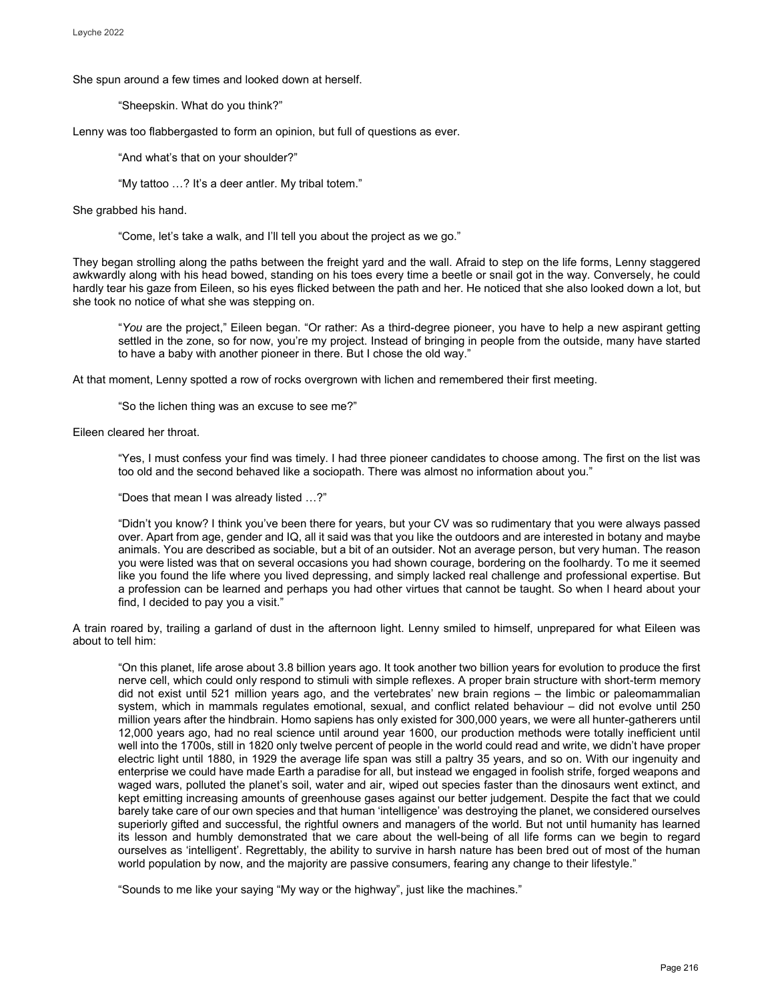She spun around a few times and looked down at herself.

"Sheepskin. What do you think?"

Lenny was too flabbergasted to form an opinion, but full of questions as ever.

"And what's that on your shoulder?"

"My tattoo …? It's a deer antler. My tribal totem."

She grabbed his hand.

"Come, let's take a walk, and I'll tell you about the project as we go."

They began strolling along the paths between the freight yard and the wall. Afraid to step on the life forms, Lenny staggered awkwardly along with his head bowed, standing on his toes every time a beetle or snail got in the way. Conversely, he could hardly tear his gaze from Eileen, so his eyes flicked between the path and her. He noticed that she also looked down a lot, but she took no notice of what she was stepping on.

"*You* are the project," Eileen began. "Or rather: As a third-degree pioneer, you have to help a new aspirant getting settled in the zone, so for now, you're my project. Instead of bringing in people from the outside, many have started to have a baby with another pioneer in there. But I chose the old way."

At that moment, Lenny spotted a row of rocks overgrown with lichen and remembered their first meeting.

"So the lichen thing was an excuse to see me?"

Eileen cleared her throat.

"Yes, I must confess your find was timely. I had three pioneer candidates to choose among. The first on the list was too old and the second behaved like a sociopath. There was almost no information about you."

"Does that mean I was already listed …?"

"Didn't you know? I think you've been there for years, but your CV was so rudimentary that you were always passed over. Apart from age, gender and IQ, all it said was that you like the outdoors and are interested in botany and maybe animals. You are described as sociable, but a bit of an outsider. Not an average person, but very human. The reason you were listed was that on several occasions you had shown courage, bordering on the foolhardy. To me it seemed like you found the life where you lived depressing, and simply lacked real challenge and professional expertise. But a profession can be learned and perhaps you had other virtues that cannot be taught. So when I heard about your find, I decided to pay you a visit."

A train roared by, trailing a garland of dust in the afternoon light. Lenny smiled to himself, unprepared for what Eileen was about to tell him:

"On this planet, life arose about 3.8 billion years ago. It took another two billion years for evolution to produce the first nerve cell, which could only respond to stimuli with simple reflexes. A proper brain structure with short-term memory did not exist until 521 million years ago, and the vertebrates' new brain regions – the limbic or paleomammalian system, which in mammals regulates emotional, sexual, and conflict related behaviour – did not evolve until 250 million years after the hindbrain. Homo sapiens has only existed for 300,000 years, we were all hunter-gatherers until 12,000 years ago, had no real science until around year 1600, our production methods were totally inefficient until well into the 1700s, still in 1820 only twelve percent of people in the world could read and write, we didn't have proper electric light until 1880, in 1929 the average life span was still a paltry 35 years, and so on. With our ingenuity and enterprise we could have made Earth a paradise for all, but instead we engaged in foolish strife, forged weapons and waged wars, polluted the planet's soil, water and air, wiped out species faster than the dinosaurs went extinct, and kept emitting increasing amounts of greenhouse gases against our better judgement. Despite the fact that we could barely take care of our own species and that human 'intelligence' was destroying the planet, we considered ourselves superiorly gifted and successful, the rightful owners and managers of the world. But not until humanity has learned its lesson and humbly demonstrated that we care about the well-being of all life forms can we begin to regard ourselves as 'intelligent'. Regrettably, the ability to survive in harsh nature has been bred out of most of the human world population by now, and the majority are passive consumers, fearing any change to their lifestyle."

"Sounds to me like your saying "My way or the highway", just like the machines."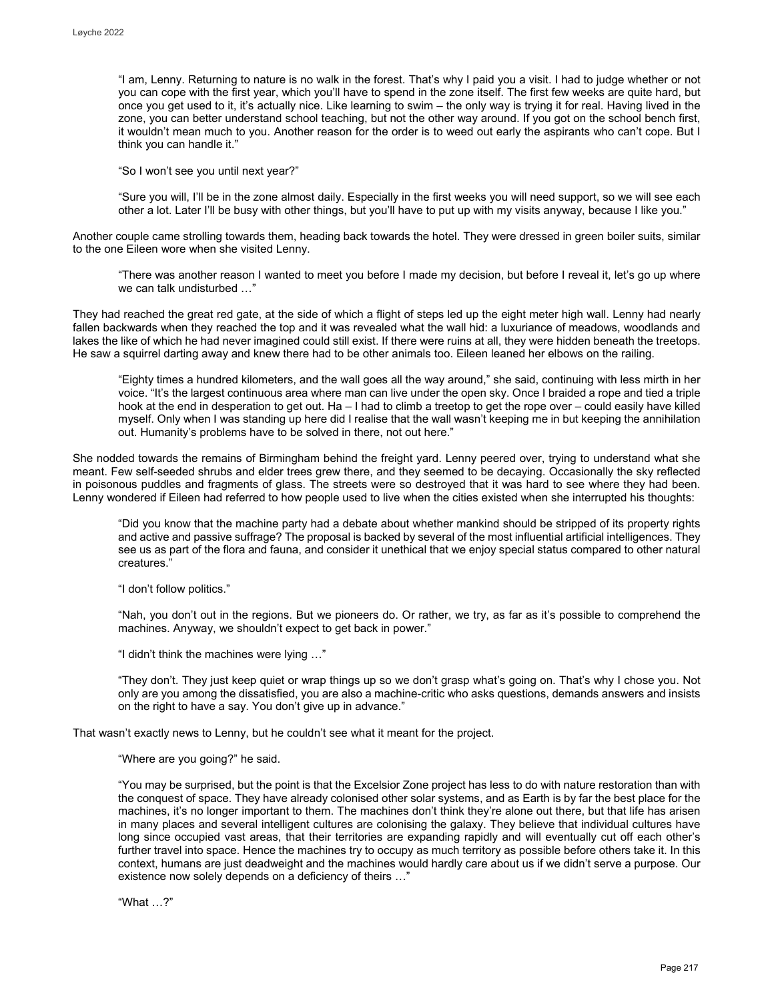"I am, Lenny. Returning to nature is no walk in the forest. That's why I paid you a visit. I had to judge whether or not you can cope with the first year, which you'll have to spend in the zone itself. The first few weeks are quite hard, but once you get used to it, it's actually nice. Like learning to swim – the only way is trying it for real. Having lived in the zone, you can better understand school teaching, but not the other way around. If you got on the school bench first, it wouldn't mean much to you. Another reason for the order is to weed out early the aspirants who can't cope. But I think you can handle it."

"So I won't see you until next year?"

"Sure you will, I'll be in the zone almost daily. Especially in the first weeks you will need support, so we will see each other a lot. Later I'll be busy with other things, but you'll have to put up with my visits anyway, because I like you."

Another couple came strolling towards them, heading back towards the hotel. They were dressed in green boiler suits, similar to the one Eileen wore when she visited Lenny.

"There was another reason I wanted to meet you before I made my decision, but before I reveal it, let's go up where we can talk undisturbed …"

They had reached the great red gate, at the side of which a flight of steps led up the eight meter high wall. Lenny had nearly fallen backwards when they reached the top and it was revealed what the wall hid: a luxuriance of meadows, woodlands and lakes the like of which he had never imagined could still exist. If there were ruins at all, they were hidden beneath the treetops. He saw a squirrel darting away and knew there had to be other animals too. Eileen leaned her elbows on the railing.

"Eighty times a hundred kilometers, and the wall goes all the way around," she said, continuing with less mirth in her voice. "It's the largest continuous area where man can live under the open sky. Once I braided a rope and tied a triple hook at the end in desperation to get out. Ha – I had to climb a treetop to get the rope over – could easily have killed myself. Only when I was standing up here did I realise that the wall wasn't keeping me in but keeping the annihilation out. Humanity's problems have to be solved in there, not out here."

She nodded towards the remains of Birmingham behind the freight yard. Lenny peered over, trying to understand what she meant. Few self-seeded shrubs and elder trees grew there, and they seemed to be decaying. Occasionally the sky reflected in poisonous puddles and fragments of glass. The streets were so destroyed that it was hard to see where they had been. Lenny wondered if Eileen had referred to how people used to live when the cities existed when she interrupted his thoughts:

"Did you know that the machine party had a debate about whether mankind should be stripped of its property rights and active and passive suffrage? The proposal is backed by several of the most influential artificial intelligences. They see us as part of the flora and fauna, and consider it unethical that we enjoy special status compared to other natural creatures."

"I don't follow politics."

"Nah, you don't out in the regions. But we pioneers do. Or rather, we try, as far as it's possible to comprehend the machines. Anyway, we shouldn't expect to get back in power."

"I didn't think the machines were lying …"

"They don't. They just keep quiet or wrap things up so we don't grasp what's going on. That's why I chose you. Not only are you among the dissatisfied, you are also a machine-critic who asks questions, demands answers and insists on the right to have a say. You don't give up in advance."

That wasn't exactly news to Lenny, but he couldn't see what it meant for the project.

"Where are you going?" he said.

"You may be surprised, but the point is that the Excelsior Zone project has less to do with nature restoration than with the conquest of space. They have already colonised other solar systems, and as Earth is by far the best place for the machines, it's no longer important to them. The machines don't think they're alone out there, but that life has arisen in many places and several intelligent cultures are colonising the galaxy. They believe that individual cultures have long since occupied vast areas, that their territories are expanding rapidly and will eventually cut off each other's further travel into space. Hence the machines try to occupy as much territory as possible before others take it. In this context, humans are just deadweight and the machines would hardly care about us if we didn't serve a purpose. Our existence now solely depends on a deficiency of theirs …"

"What …?"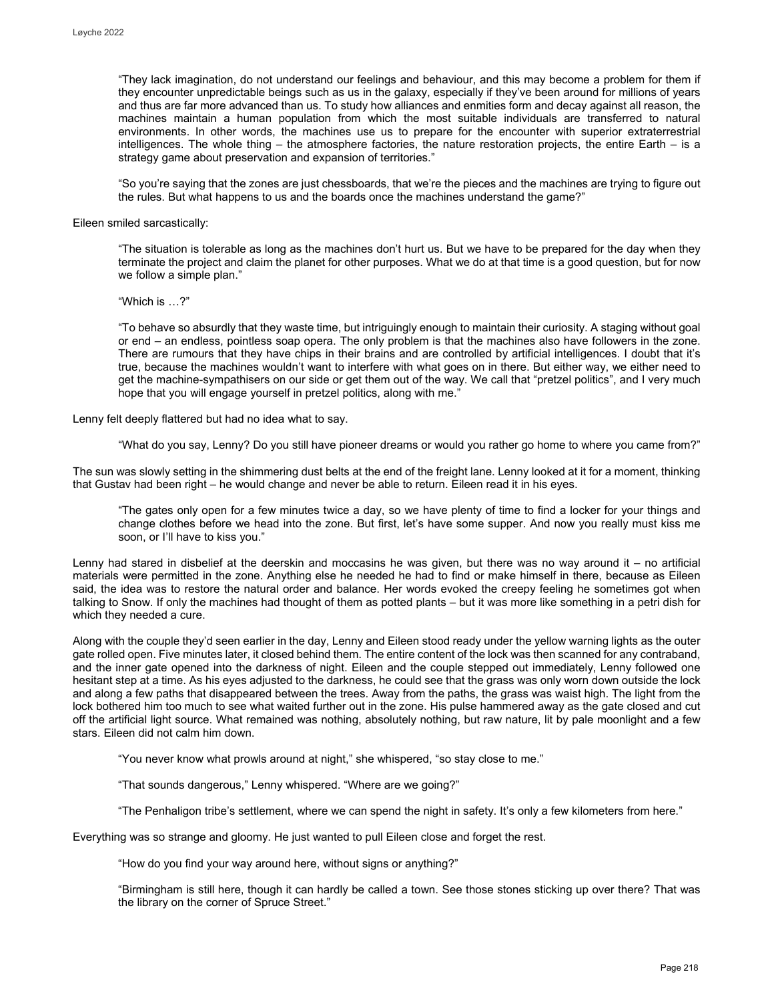"They lack imagination, do not understand our feelings and behaviour, and this may become a problem for them if they encounter unpredictable beings such as us in the galaxy, especially if they've been around for millions of years and thus are far more advanced than us. To study how alliances and enmities form and decay against all reason, the machines maintain a human population from which the most suitable individuals are transferred to natural environments. In other words, the machines use us to prepare for the encounter with superior extraterrestrial intelligences. The whole thing – the atmosphere factories, the nature restoration projects, the entire Earth – is a strategy game about preservation and expansion of territories."

"So you're saying that the zones are just chessboards, that we're the pieces and the machines are trying to figure out the rules. But what happens to us and the boards once the machines understand the game?"

### Eileen smiled sarcastically:

"The situation is tolerable as long as the machines don't hurt us. But we have to be prepared for the day when they terminate the project and claim the planet for other purposes. What we do at that time is a good question, but for now we follow a simple plan."

"Which is …?"

"To behave so absurdly that they waste time, but intriguingly enough to maintain their curiosity. A staging without goal or end – an endless, pointless soap opera. The only problem is that the machines also have followers in the zone. There are rumours that they have chips in their brains and are controlled by artificial intelligences. I doubt that it's true, because the machines wouldn't want to interfere with what goes on in there. But either way, we either need to get the machine-sympathisers on our side or get them out of the way. We call that "pretzel politics", and I very much hope that you will engage yourself in pretzel politics, along with me."

Lenny felt deeply flattered but had no idea what to say.

"What do you say, Lenny? Do you still have pioneer dreams or would you rather go home to where you came from?"

The sun was slowly setting in the shimmering dust belts at the end of the freight lane. Lenny looked at it for a moment, thinking that Gustav had been right – he would change and never be able to return. Eileen read it in his eyes.

"The gates only open for a few minutes twice a day, so we have plenty of time to find a locker for your things and change clothes before we head into the zone. But first, let's have some supper. And now you really must kiss me soon, or I'll have to kiss you."

Lenny had stared in disbelief at the deerskin and moccasins he was given, but there was no way around it – no artificial materials were permitted in the zone. Anything else he needed he had to find or make himself in there, because as Eileen said, the idea was to restore the natural order and balance. Her words evoked the creepy feeling he sometimes got when talking to Snow. If only the machines had thought of them as potted plants – but it was more like something in a petri dish for which they needed a cure.

Along with the couple they'd seen earlier in the day, Lenny and Eileen stood ready under the yellow warning lights as the outer gate rolled open. Five minutes later, it closed behind them. The entire content of the lock was then scanned for any contraband, and the inner gate opened into the darkness of night. Eileen and the couple stepped out immediately, Lenny followed one hesitant step at a time. As his eyes adjusted to the darkness, he could see that the grass was only worn down outside the lock and along a few paths that disappeared between the trees. Away from the paths, the grass was waist high. The light from the lock bothered him too much to see what waited further out in the zone. His pulse hammered away as the gate closed and cut off the artificial light source. What remained was nothing, absolutely nothing, but raw nature, lit by pale moonlight and a few stars. Eileen did not calm him down.

"You never know what prowls around at night," she whispered, "so stay close to me."

"That sounds dangerous," Lenny whispered. "Where are we going?"

"The Penhaligon tribe's settlement, where we can spend the night in safety. It's only a few kilometers from here."

Everything was so strange and gloomy. He just wanted to pull Eileen close and forget the rest.

"How do you find your way around here, without signs or anything?"

"Birmingham is still here, though it can hardly be called a town. See those stones sticking up over there? That was the library on the corner of Spruce Street."